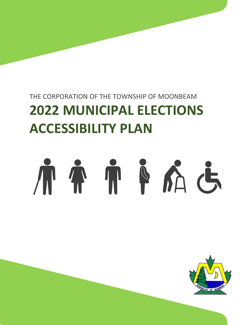# THE CORPORATION OF THE TOWNSHIP OF MOONBEAM **2022 MUNICIPAL ELECTIONS ACCESSIBILITY PLAN**

# TTPA6  $\mathcal{A}^{\prime}$

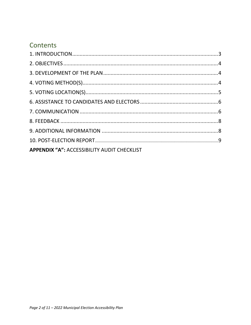# Contents

| <b>APPENDIX "A": ACCESSIBILITY AUDIT CHECKLIST</b> |  |
|----------------------------------------------------|--|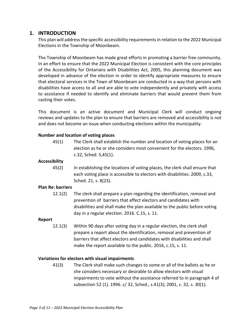#### **1. INTRODUCTION**

This plan will address the specific accessibility requirements in relation to the 2022 Municipal Elections in the Township of Moonbeam.

The Township of Moonbeam has made great efforts in promoting a barrier free community. In an effort to ensure that the 2022 Municipal Election is consistent with the core principles of the Accessibility for Ontarians with Disabilities Act, 2005, this planning document was developed in advance of the election in order to identify appropriate measures to ensure that electoral services in the Town of Moonbeam are conducted in a way that persons with disabilities have access to all and are able to vote independently and privately with access to assistance if needed to identify and eliminate barriers that would prevent them from casting their votes.

This document is an active document and Municipal Clerk will conduct ongoing reviews and updates to the plan to ensure that barriers are removed and accessibility is not and does not become an issue when conducting elections within the municipality.

#### **Number and location of voting places**

45(1) The Clerk shall establish the number and location of voting places for an election as he or she considers most convenient for the electors. 1996, c.32, Sched. S,45(1).

#### **Accessibility**

45(2) In establishing the locations of voting places, the clerk shall ensure that each voting place is accessible to electors with disabilities. 2009, c.33, Sched. 21, s. 8(23).

#### **Plan Re: barriers**

12.1(2) The clerk shall prepare a plan regarding the identification, removal and prevention of barriers that affect electors and candidates with disabilities and shall make the plan available to the public before voting day in a regular election. 2016. C.15, s. 11.

#### **Report**

12.1(3) Within 90 days after voting day in a regular election, the clerk shall prepare a report about the identification, removal and prevention of barriers that affect electors and candidates with disabilities and shall make the report available to the public. 2016, c.15, s. 11.

#### **Variations for electors with visual impairments**

41(3) The Clerk shall make such changes to some or all of the ballots as he or she considers necessary or desirable to allow electors with visual impairments to vote without the assistance referred to in paragraph 4 of subsection 52 (1). 1996. c/ 32, Sched., s.41(3); 2001, c. 32, s. 30(1).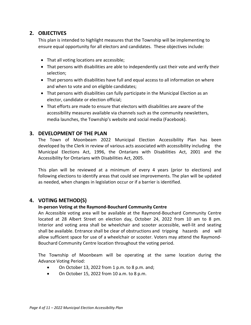#### **2. OBJECTIVES**

This plan is intended to highlight measures that the Township will be implementing to ensure equal opportunity for all electors and candidates. These objectives include:

- That all voting locations are accessible;
- That persons with disabilities are able to independently cast their vote and verify their selection;
- That persons with disabilities have full and equal access to all information on where and when to vote and on eligible candidates;
- That persons with disabilities can fully participate in the Municipal Election as an elector, candidate or election official;
- That efforts are made to ensure that electors with disabilities are aware of the accessibility measures available via channels such as the community newsletters, media launches, the Township's website and social media (Facebook).

#### **3. DEVELOPMENT OF THE PLAN**

The Town of Moonbeam 2022 Municipal Election Accessibility Plan has been developed by the Clerk in review of various acts associated with accessibility including the Municipal Elections Act, 1996, the Ontarians with Disabilities Act, 2001 and the Accessibility for Ontarians with Disabilities Act, 2005.

This plan will be reviewed at a minimum of every 4 years (prior to elections) and following elections to identify areas that could see improvements. The plan will be updated as needed, when changes in legislation occur or if a barrier is identified.

#### **4. VOTING METHOD(S)**

#### **In-person Voting at the Raymond-Bouchard Community Centre**

An Accessible voting area will be available at the Raymond-Bouchard Community Centre located at 28 Albert Street on election day, October 24, 2022 from 10 am to 8 pm. Interior and voting area shall be wheelchair and scooter accessible, well-lit and seating shall be available. Entrance shall be clear of obstructions and tripping hazards and will allow sufficient space for use of a wheelchair or scooter. Voters may attend the Raymond-Bouchard Community Centre location throughout the voting period.

The Township of Moonbeam will be operating at the same location during the Advance Voting Period:

- On October 13, 2022 from 1 p.m. to 8 p.m. and;
- On October 15, 2022 from 10 a.m. to 8 p.m.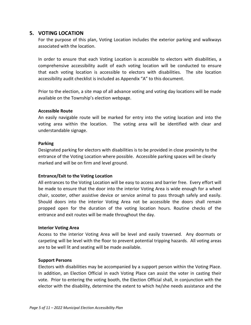#### **5. VOTING LOCATION**

For the purpose of this plan, Voting Location includes the exterior parking and walkways associated with the location.

In order to ensure that each Voting Location is accessible to electors with disabilities, a comprehensive accessibility audit of each voting location will be conducted to ensure that each voting location is accessible to electors with disabilities. The site location accessibility audit checklist is included as Appendix "A" to this document.

Prior to the election, a site map of all advance voting and voting day locations will be made available on the Township's election webpage.

#### **Accessible Route**

An easily navigable route will be marked for entry into the voting location and into the voting area within the location. The voting area will be identified with clear and understandable signage.

#### **Parking**

Designated parking for electors with disabilities is to be provided in close proximity to the entrance of the Voting Location where possible. Accessible parking spaces will be clearly marked and will be on firm and level ground.

#### **Entrance/Exit to the Voting Location**

All entrances to the Voting Location will be easy to access and barrier free. Every effort will be made to ensure that the door into the interior Voting Area is wide enough for a wheel chair, scooter, other assistive device or service animal to pass through safely and easily. Should doors into the interior Voting Area not be accessible the doors shall remain propped open for the duration of the voting location hours. Routine checks of the entrance and exit routes will be made throughout the day.

#### **Interior Voting Area**

Access to the interior Voting Area will be level and easily traversed. Any doormats or carpeting will be level with the floor to prevent potential tripping hazards. All voting areas are to be well lit and seating will be made available.

#### **Support Persons**

Electors with disabilities may be accompanied by a support person within the Voting Place. In addition, an Election Official in each Voting Place can assist the voter in casting their vote. Prior to entering the voting booth, the Election Official shall, in conjunction with the elector with the disability, determine the extent to which he/she needs assistance and the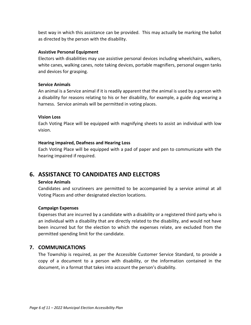best way in which this assistance can be provided. This may actually be marking the ballot as directed by the person with the disability.

#### **Assistive Personal Equipment**

Electors with disabilities may use assistive personal devices including wheelchairs, walkers, white canes, walking canes, note taking devices, portable magnifiers, personal oxygen tanks and devices for grasping.

#### **Service Animals**

An animal is a Service animal if it is readily apparent that the animal is used by a person with a disability for reasons relating to his or her disability, for example, a guide dog wearing a harness. Service animals will be permitted in voting places.

#### **Vision Loss**

Each Voting Place will be equipped with magnifying sheets to assist an individual with low vision.

#### **Hearing impaired, Deafness and Hearing Loss**

Each Voting Place will be equipped with a pad of paper and pen to communicate with the hearing impaired if required.

### **6. ASSISTANCE TO CANDIDATES AND ELECTORS**

#### **Service Animals**

Candidates and scrutineers are permitted to be accompanied by a service animal at all Voting Places and other designated election locations.

#### **Campaign Expenses**

Expenses that are incurred by a candidate with a disability or a registered third party who is an individual with a disability that are directly related to the disability, and would not have been incurred but for the election to which the expenses relate, are excluded from the permitted spending limit for the candidate.

#### **7. COMMUNICATIONS**

The Township is required, as per the Accessible Customer Service Standard, to provide a copy of a document to a person with disability, or the information contained in the document, in a format that takes into account the person's disability.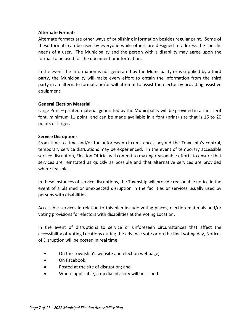#### **Alternate Formats**

Alternate formats are other ways of publishing information besides regular print. Some of these formats can be used by everyone while others are designed to address the specific needs of a user. The Municipality and the person with a disability may agree upon the format to be used for the document or information.

In the event the information is not generated by the Municipality or is supplied by a third party, the Municipality will make every effort to obtain the information from the third party in an alternate format and/or will attempt to assist the elector by providing assistive equipment.

#### **General Election Material**

Large Print – printed material generated by the Municipality will be provided in a sans serif font, minimum 11 point, and can be made available in a font (print) size that is 16 to 20 points or larger.

#### **Service Disruptions**

From time to time and/or for unforeseen circumstances beyond the Township's control, temporary service disruptions may be experienced. In the event of temporary accessible service disruption, Election Official will commit to making reasonable efforts to ensure that services are reinstated as quickly as possible and that alternative services are provided where feasible.

In these instances of service disruptions, the Township will provide reasonable notice in the event of a planned or unexpected disruption in the facilities or services usually used by persons with disabilities.

Accessible services in relation to this plan include voting places, election materials and/or voting provisions for electors with disabilities at the Voting Location.

In the event of disruptions to service or unforeseen circumstances that affect the accessibility of Voting Locations during the advance vote or on the final voting day, Notices of Disruption will be posted in real time:

- On the Township's website and election webpage;
- On Facebook;
- Posted at the site of disruption; and
- Where applicable, a media advisory will be issued.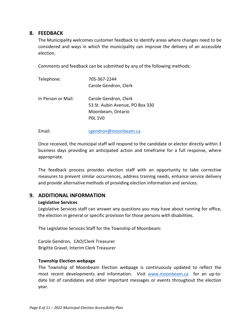#### **8. FEEDBACK**

The Municipality welcomes customer feedback to identify areas where changes need to be considered and ways in which the municipality can improve the delivery of an accessible election.

Comments and feedback can be submitted by any of the following methods:

| Telephone:         | 705-367-2244                                                                                    |  |
|--------------------|-------------------------------------------------------------------------------------------------|--|
|                    | Carole Gendron, Clerk                                                                           |  |
| In Person or Mail: | Carole Gendron, Clerk<br>53 St. Aubin Avenue, PO Box 330<br>Moonbeam, Ontario<br><b>POL 1VO</b> |  |

Email: [cgendron@moonbeam.ca](mailto:cgendron@moonbeam.ca)

Once received, the municipal staff will respond to the candidate or elector directly within 3 business days providing an anticipated action and timeframe for a full response, where appropriate.

The feedback process provides election staff with an opportunity to take corrective measures to prevent similar occurrences, address training needs, enhance service delivery and provide alternative methods of providing election information and services.

#### **9. ADDITIONAL INFORMATION**

#### **Legislative Services**

Legislative Services staff can answer any questions you may have about running for office, the election in general or specific provision for those persons with disabilities.

The Legislative Services Staff for the Township of Moonbeam:

Carole Gendron, CAO/Clerk Treasurer Brigitte Gravel, Interim Clerk Treasurer

#### **Township Election webpage**

The Township of Moonbeam Election webpage is continuously updated to reflect the most recent developments and information. Visit [www.moonbeam.ca](http://www.moonbeam.ca/) for an up-todate list of candidates and other important messages or events throughout the election year.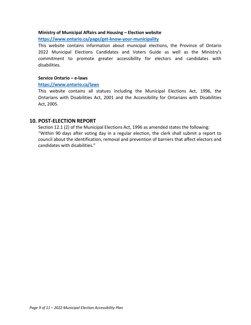#### **Ministry of Municipal Affairs and Housing – Election website**

**<https://www.ontario.ca/page/get-know-your-municipality>**

This website contains information about municipal elections, the Province of Ontario 2022 Municipal Elections Candidates and Voters Guide as well as the Ministry's commitment to promote greater accessibility for electors and candidates with disabilities.

#### **Service Ontario – e-laws**

#### **<https://www.ontario.ca/laws>**

This website contains all statues including the Municipal Elections Act, 1996, the Ontarians with Disabilities Act, 2001 and the Accessibility for Ontarians with Disabilities Act, 2005.

#### **10. POST-ELECTION REPORT**

Section 12.1 (2) of the Municipal Elections Act, 1996 as amended states the following: "Within 90 days after voting day in a regular election, the clerk shall submit a report to council about the identification, removal and prevention of barriers that affect electors and candidates with disabilities."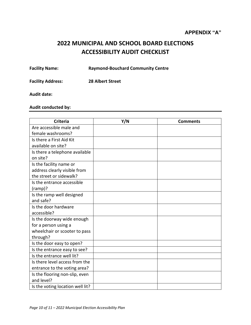## **2022 MUNICIPAL AND SCHOOL BOARD ELECTIONS ACCESSIBILITY AUDIT CHECKLIST**

**Facility Name: Raymond-Bouchard Community Centre**

**Facility Address: 28 Albert Street**

**Audit date:**

#### **Audit conducted by:**

| <b>Criteria</b>                  | Y/N | <b>Comments</b> |
|----------------------------------|-----|-----------------|
| Are accessible male and          |     |                 |
| female washrooms?                |     |                 |
| Is there a First Aid Kit         |     |                 |
| available on site?               |     |                 |
| Is there a telephone available   |     |                 |
| on site?                         |     |                 |
| Is the facility name or          |     |                 |
| address clearly visible from     |     |                 |
| the street or sidewalk?          |     |                 |
| Is the entrance accessible       |     |                 |
| $(ramp)$ ?                       |     |                 |
| Is the ramp well designed        |     |                 |
| and safe?                        |     |                 |
| Is the door hardware             |     |                 |
| accessible?                      |     |                 |
| Is the doorway wide enough       |     |                 |
| for a person using a             |     |                 |
| wheelchair or scooter to pass    |     |                 |
| through?                         |     |                 |
| Is the door easy to open?        |     |                 |
| Is the entrance easy to see?     |     |                 |
| Is the entrance well lit?        |     |                 |
| Is there level access from the   |     |                 |
| entrance to the voting area?     |     |                 |
| Is the flooring non-slip, even   |     |                 |
| and level?                       |     |                 |
| Is the voting location well lit? |     |                 |